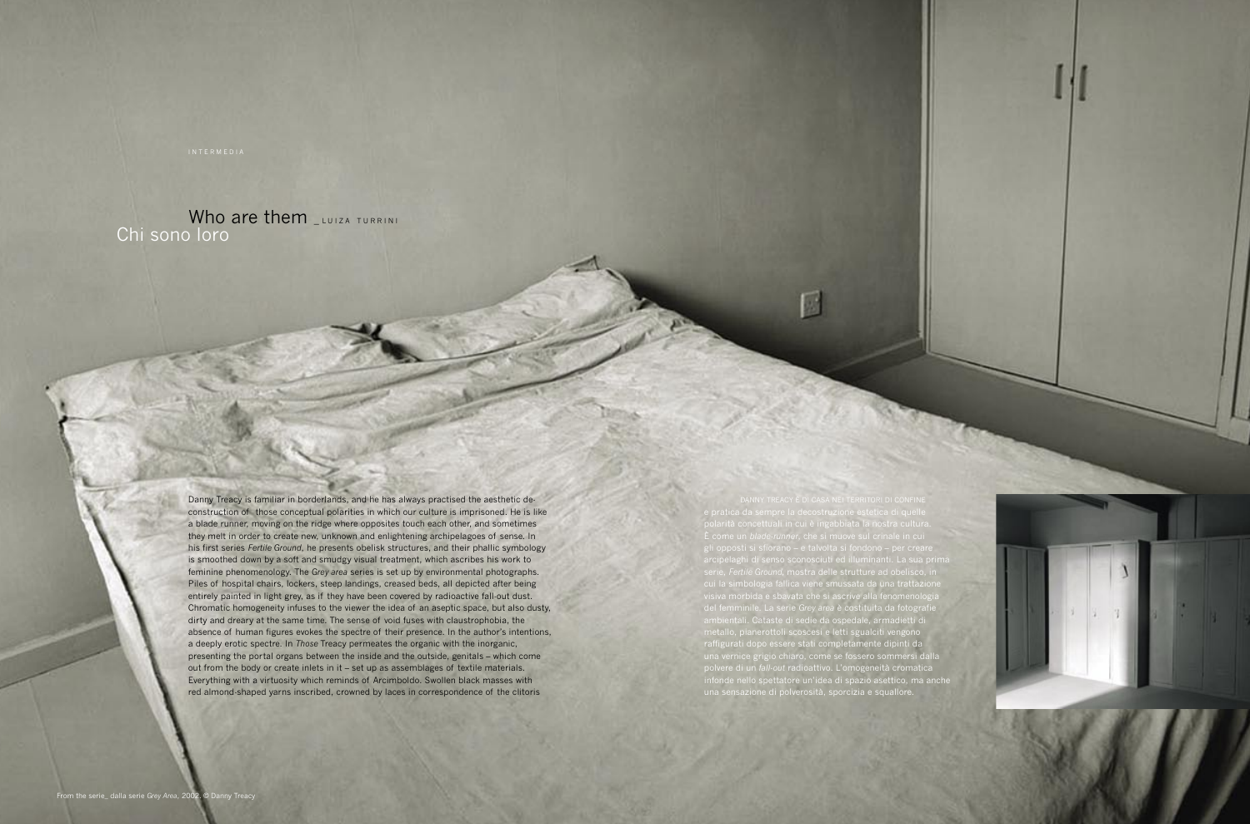Who are them LLUIZA TURRINI Chi sono loro

> Danny Treacy is familiar in borderlands, and he has always practised the aesthetic deconstruction of those conceptual polarities in which our culture is imprisoned. He is like a blade runner, moving on the ridge where opposites touch each other, and sometimes they melt in order to create new, unknown and enlightening archipelagoes of sense. In his first series *Fertile Ground*, he presents obelisk structures, and their phallic symbology is smoothed down by a soft and smudgy visual treatment, which ascribes his work to feminine phenomenology. The *Grey area* series is set up by environmental photographs. Piles of hospital chairs, lockers, steep landings, creased beds, all depicted after being entirely painted in light grey, as if they have been covered by radioactive fall-out dust. Chromatic homogeneity infuses to the viewer the idea of an aseptic space, but also dusty, dirty and dreary at the same time. The sense of void fuses with claustrophobia, the absence of human figures evokes the spectre of their presence. In the author's intentions, a deeply erotic spectre. In *Those* Treacy permeates the organic with the inorganic, presenting the portal organs between the inside and the outside, genitals – which come out from the body or create inlets in it – set up as assemblages of textile materials. Everything with a virtuosity which reminds of Arcimboldo. Swollen black masses with red almond-shaped yarns inscribed, crowned by laces in correspondence of the clitoris

al cipolagni ul sonso sconosciuti ou munimianti. La sua prima Serie, *reitile* gi*ound*, mostra delle strutture ad obelisco, ili dai marchi fabbrica, ha influenzato una generazione di artisti e di artisti e di artisti e di designerazione d del suo lavoro. All'applicazione si suo lavoro. Alla formule di successo ha sempre privilegiato la sempre priv species del femminile. La serie Grey area è costituita da fotografie a una ricerca profonda che, per il suo ap le sue radicali presentali presentali presenta identifica come artista: performance, installazioni, happening fanno parte del suo linguaggio linguaggio artistico, parte all'internet all'architetto che l'architetto che l'<br>Il parallelamente all'architetto che l'ha portata di architetto che l'ha portata di architetto che l'ha portat naturali dono essere DANNY TREACY È DI CASA NEI TERRITORI DI CONFINE polarità concettuali in cui è ingabbiata la nostra cultura. ,<br>*le-runner*, che si muove sul crinale in cui<br>fiorano – e talvolta si fondono – per creare gli opposti si sfiorano – e talvolta si fondono – per creare arcipelaghi di senso sconosciuti ed illuminanti. La sua prima serie, *Fertile Ground,* mostra delle strutture ad obelisco, in cui la simbologia fallica viene smussata da una trattazione visiva morbida e sbavata che si ascrive alla fenomenologia del femminile. La serie *Grey area* è costituita da fotografie ambientali. Cataste di sedie da ospedale, armadietti di metallo, pianerottoli scoscesi e letti sgualciti vengono raffigurati dopo essere stati completamente dipinti da una vernice grigio chiaro, come se fossero sommersi dalla polvere di un *fall-out* radioattivo. L'omogeneità cromatica infonde nello spettatore un'idea di spazio asettico, ma anche una sensazione di polverosità, sporcizia e squallore.

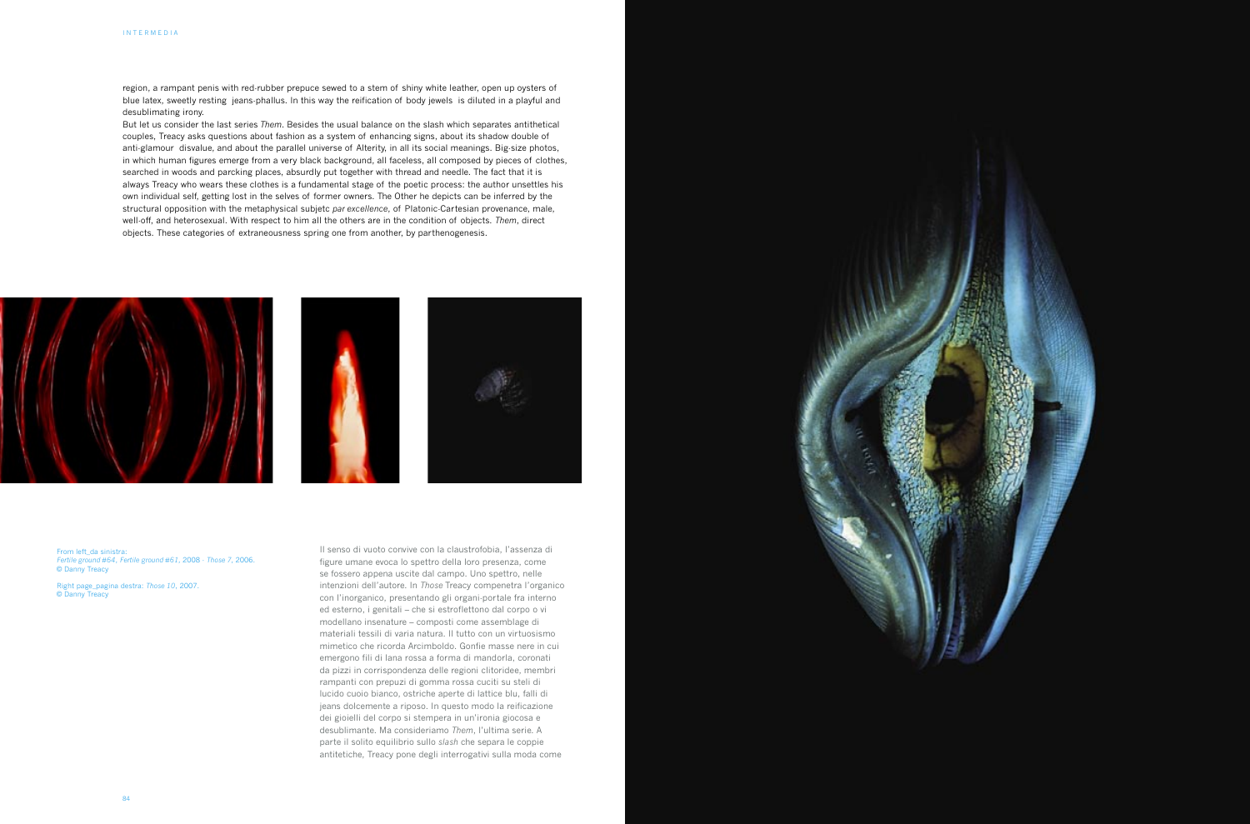

region, a rampant penis with red-rubber prepuce sewed to a stem of shiny white leather, open up oysters of blue latex, sweetly resting jeans-phallus. In this way the reification of body jewels is diluted in a playful and desublimating irony.

But let us consider the last series *Them*. Besides the usual balance on the slash which separates antithetical couples, Treacy asks questions about fashion as a system of enhancing signs, about its shadow double of anti-glamour disvalue, and about the parallel universe of Alterity, in all its social meanings. Big-size photos, in which human figures emerge from a very black background, all faceless, all composed by pieces of clothes, searched in woods and parcking places, absurdly put together with thread and needle. The fact that it is always Treacy who wears these clothes is a fundamental stage of the poetic process: the author unsettles his own individual self, getting lost in the selves of former owners. The Other he depicts can be inferred by the structural opposition with the metaphysical subjetc *par excellence*, of Platonic-Cartesian provenance, male, well-off, and heterosexual. With respect to him all the others are in the condition of objects. *Them*, direct objects. These categories of extraneousness spring one from another, by parthenogenesis.







Il senso di vuoto convive con la claustrofobia, l'assenza di figure umane evoca lo spettro della loro presenza, come se fossero appena uscite dal campo. Uno spettro, nelle intenzioni dell'autore. In *Those* Treacy compenetra l'organico con l'inorganico, presentando gli organi-portale fra interno ed esterno, i genitali – che si estroflettono dal corpo o vi modellano insenature – composti come assemblage di materiali tessili di varia natura. Il tutto con un virtuosismo mimetico che ricorda Arcimboldo. Gonfie masse nere in cui emergono fili di lana rossa a forma di mandorla, coronati da pizzi in corrispondenza delle regioni clitoridee, membri rampanti con prepuzi di gomma rossa cuciti su steli di lucido cuoio bianco, ostriche aperte di lattice blu, falli di jeans dolcemente a riposo. In questo modo la reificazione dei gioielli del corpo si stempera in un'ironia giocosa e desublimante. Ma consideriamo *Them*, l'ultima serie. A parte il solito equilibrio sullo *slash* che separa le coppie antitetiche, Treacy pone degli interrogativi sulla moda come

From left\_da sinistra: *Fertile ground #64*, *Fertile ground #61,* 2008 - *Those 7,* 2006. © Danny Treacy

Right page\_pagina destra: *Those 10*, 2007. © Danny Treacy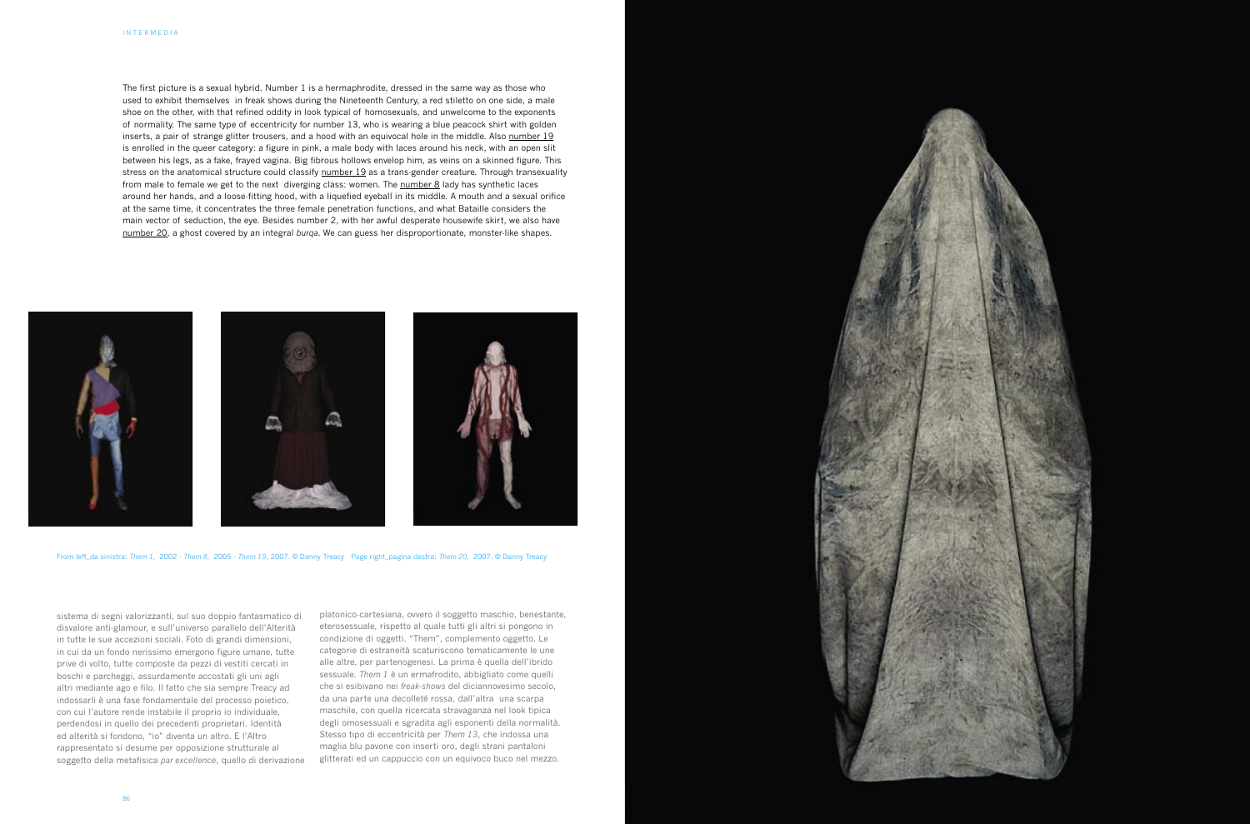The first picture is a sexual hybrid. Number 1 is a hermaphrodite, dressed in the same way as those who used to exhibit themselves in freak shows during the Nineteenth Century, a red stiletto on one side, a male shoe on the other, with that refined oddity in look typical of homosexuals, and unwelcome to the exponents of normality. The same type of eccentricity for number 13, who is wearing a blue peacock shirt with golden inserts, a pair of strange glitter trousers, and a hood with an equivocal hole in the middle. Also number 19 is enrolled in the queer category: a figure in pink, a male body with laces around his neck, with an open slit between his legs, as a fake, frayed vagina. Big fibrous hollows envelop him, as veins on a skinned figure. This stress on the anatomical structure could classify number 19 as a trans-gender creature. Through transexuality from male to female we get to the next diverging class: women. The number 8 lady has synthetic laces around her hands, and a loose-fitting hood, with a liquefied eyeball in its middle. A mouth and a sexual orifice at the same time, it concentrates the three female penetration functions, and what Bataille considers the main vector of seduction, the eye. Besides number 2, with her awful desperate housewife skirt, we also have number 20, a ghost covered by an integral *burqa.* We can guess her disproportionate, monster-like shapes.







sistema di segni valorizzanti, sul suo doppio fantasmatico di disvalore anti-glamour, e sull'universo parallelo dell'Alterità in tutte le sue accezioni sociali. Foto di grandi dimensioni, in cui da un fondo nerissimo emergono figure umane, tutte prive di volto, tutte composte da pezzi di vestiti cercati in boschi e parcheggi, assurdamente accostati gli uni agli altri mediante ago e filo. Il fatto che sia sempre Treacy ad indossarli è una fase fondamentale del processo poietico, con cui l'autore rende instabile il proprio io individuale, perdendosi in quello dei precedenti proprietari. Identità ed alterità si fondono, "io" diventa un altro. E l'Altro rappresentato si desume per opposizione strutturale al soggetto della metafisica *par excellence*, quello di derivazione platonico-cartesiana, ovvero il soggetto maschio, benestante, eterosessuale, rispetto al quale tutti gli altri si pongono in condizione di oggetti. "Them", complemento oggetto. Le categorie di estraneità scaturiscono tematicamente le une alle altre, per partenogenesi. La prima è quella dell'ibrido sessuale. *Them 1* è un ermafrodito, abbigliato come quelli che si esibivano nei *freak-shows* del diciannovesimo secolo, da una parte una decolleté rossa, dall'altra una scarpa maschile, con quella ricercata stravaganza nel look tipica degli omosessuali e sgradita agli esponenti della normalità. Stesso tipo di eccentricità per *Them 13*, che indossa una maglia blu pavone con inserti oro, degli strani pantaloni glitterati ed un cappuccio con un equivoco buco nel mezzo.

From left\_da sinistra: *Them 1,* 2002 - *Them 8,* 2005 - *Them 19*, 2007. © Danny Treacy Page right\_pagina destra: *Them 20,* 2007. © Danny Treacy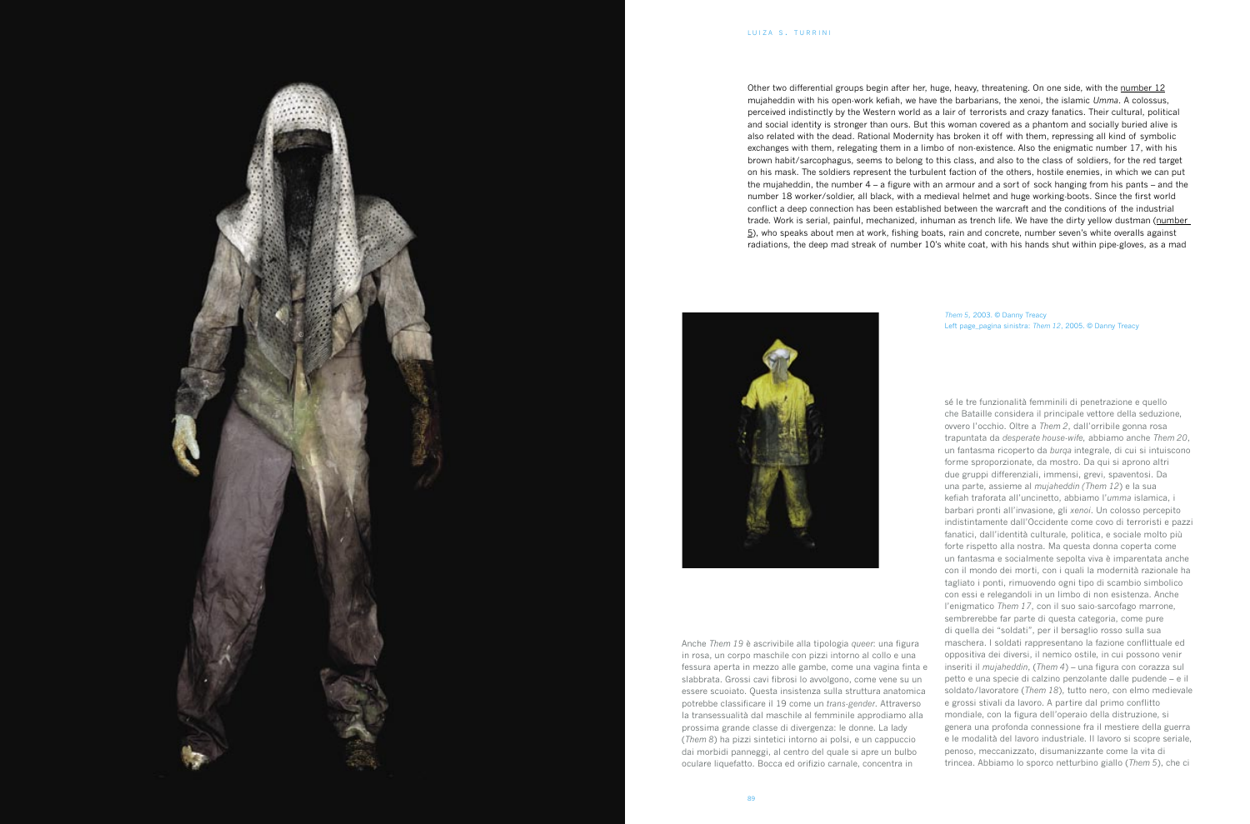Other two differential groups begin after her, huge, heavy, threatening. On one side, with the <u>number 12</u> mujaheddin with his open-work kefiah, we have the barbarians, the xenoi, the islamic *Umma*. A colossus, perceived indistinctly by the Western world as a lair of terrorists and crazy fanatics. Their cultural, political and social identity is stronger than ours. But this woman covered as a phantom and socially buried alive is also related with the dead. Rational Modernity has broken it off with them, repressing all kind of symbolic exchanges with them, relegating them in a limbo of non-existence. Also the enigmatic number 17, with his brown habit/sarcophagus, seems to belong to this class, and also to the class of soldiers, for the red target on his mask. The soldiers represent the turbulent faction of the others, hostile enemies, in which we can put the mujaheddin, the number 4 – a figure with an armour and a sort of sock hanging from his pants – and the number 18 worker/soldier, all black, with a medieval helmet and huge working-boots. Since the first world conflict a deep connection has been established between the warcraft and the conditions of the industrial trade. Work is serial, painful, mechanized, inhuman as trench life. We have the dirty yellow dustman (number  $\overline{5}$ ), who speaks about men at work, fishing boats, rain and concrete, number seven's white overalls against radiations, the deep mad streak of number 10's white coat, with his hands shut within pipe-gloves, as a mad





Anche *Them 19* è ascrivibile alla tipologia *queer*: una figura in rosa, un corpo maschile con pizzi intorno al collo e una fessura aperta in mezzo alle gambe, come una vagina finta e slabbrata. Grossi cavi fibrosi lo avvolgono, come vene su un essere scuoiato. Questa insistenza sulla struttura anatomica potrebbe classificare il 19 come un *trans-gender*. Attraverso la transessualità dal maschile al femminile approdiamo alla prossima grande classe di divergenza: le donne. La lady (*Them <sup>8</sup>*) ha pizzi sintetici intorno ai polsi, e un cappuccio dai morbidi panneggi, al centro del quale si apre un bulbo oculare liquefatto. Bocca ed orifizio carnale, concentra in

sé le tre funzionalit à femminili di penetrazione e quello che Bataille considera il principale vettore della seduzione, ovvero l'occhio. Oltre a *Them 2*, dall'orribile gonna rosa trapuntata da *desperate house-wife,* abbiamo anche *Them 20*, un fantasma ricoperto da *burqa* integrale, di cui si intuiscono forme sproporzionate, da mostro. Da qui si aprono altri due gruppi differenziali, immensi, grevi, spaventosi. Da una parte, assieme al *mujaheddin (Them 12* ) e la sua kefiah traforata all'uncinetto, abbiamo l' *umma* islamica, i barbari pronti all'invasione, gli *xenoi*. Un colosso percepito indistintamente dall'Occidente come covo di terroristi e pazzi fanatici, dall'identit à culturale, politica, e sociale molto più forte rispetto alla nostra. Ma questa donna coperta come un fantasma e socialmente sepolta viva è imparentata anche con il mondo dei morti, con i quali la modernità razionale ha tagliato i ponti, rimuovendo ogni tipo di scambio simbolico con essi e relegandoli in un limbo di non esistenza. Anche l'enigmatico *Them 1 7*, con il suo saio-sarcofago marrone, sembrerebbe far parte di questa categoria, come pure di quella dei "soldati", per il bersaglio rosso sulla sua maschera. I soldati rappresentano la fazione conflittuale ed oppositiva dei diversi, il nemico ostile, in cui possono venir inseriti il *mujaheddin*, (*Them 4* ) – una figura con corazza sul petto e una specie di calzino penzolante dalle pudende – e il soldato/lavoratore (*Them 18* ), tutto nero, con elmo medievale e grossi stivali da lavoro. A partire dal primo conflitto mondiale, con la figura dell'operaio della distruzione, si genera una profonda connessione fra il mestiere della guerra e le modalit à del lavoro industriale. Il lavoro si scopre seriale, penoso, meccanizzato, disumanizzante come la vita di trincea. Abbiamo lo sporco netturbino giallo (*Them 5* ), che ci

*Them 5,* 2003. © Danny Treacy Left page\_pagina sinistra: *Them 12*, 2005. © Danny Treacy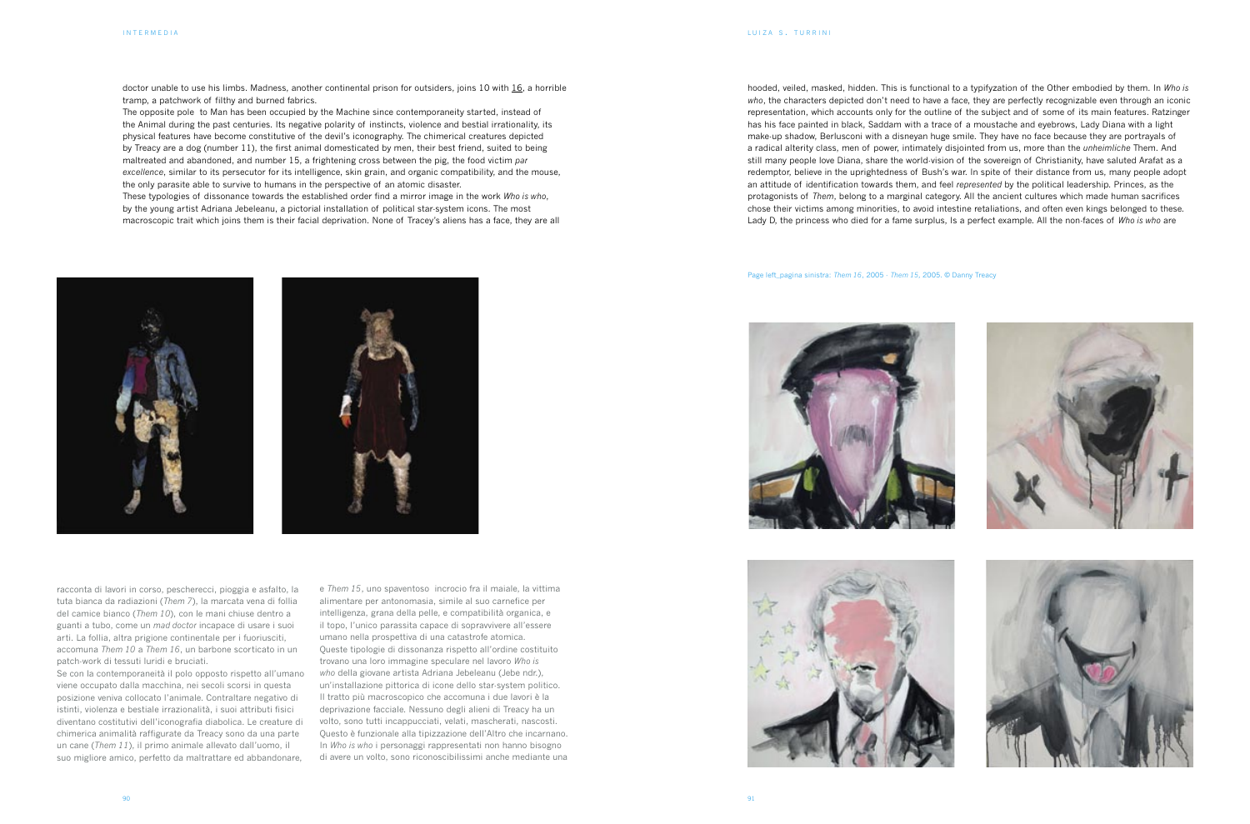doctor unable to use his limbs. Madness, another continental prison for outsiders, joins 10 with 16, a horrible tramp, a patchwork of filthy and burned fabrics.

The opposite pole to Man has been occupied by the Machine since contemporaneity started, instead of the Animal during the past centuries. Its negative polarity of instincts, violence and bestial irrationality, its physical features have become constitutive of the devil's iconography. The chimerical creatures depicted by Treacy are a dog (number 11), the first animal domesticated by men, their best friend, suited to being maltreated and abandoned, and number 15, a frightening cross between the pig, the food victim *par excellence*, similar to its persecutor for its intelligence, skin grain, and organic compatibility, and the mouse, the only parasite able to survive to humans in the perspective of an atomic disaster.

These typologies of dissonance towards the established order find a mirror image in the work *Who is who*, by the young artist Adriana Jebeleanu, a pictorial installation of political star-system icons. The most macroscopic trait which joins them is their facial deprivation. None of Tracey's aliens has a face, they are all hooded, veiled, masked, hidden. This is functional to a typifyzation of the Other embodied by them. In *Who is who*, the characters depicted don't need to have a face, they are perfectly recognizable even through an iconic representation, which accounts only for the outline of the subject and of some of its main features. Ratzinger has his face painted in black, Saddam with a trace of a moustache and eyebrows, Lady Diana with a light make-up shadow, Berlusconi with a disneyan huge smile. They have no face because they are portrayals of a radical alterity class, men of power, intimately disjointed from us, more than the *unheimliche* Them. And still many people love Diana, share the world-vision of the sovereign of Christianity, have saluted Arafat as a redemptor, believe in the uprightedness of Bush's war. In spite of their distance from us, many people adopt an attitude of identification towards them, and feel *represented* by the political leadership. Princes, as the protagonists of *Them*, belong to a marginal category. All the ancient cultures which made human sacrifices chose their victims among minorities, to avoid intestine retaliations, and often even kings belonged to these. Lady D, the princess who died for a fame surplus, Is a perfect example. All the non-faces of *Who is who* are

racconta di lavori in corso, pescherecci, pioggia e asfalto, la tuta bianca da radiazioni (*Them 7*), la marcata vena di follia del camice bianco (*Them 10*), con le mani chiuse dentro a guanti a tubo, come un *mad doctor* incapace di usare i suoi arti. La follia, altra prigione continentale per i fuoriusciti, accomuna *Them 10* a *Them 16*, un barbone scorticato in un patch-work di tessuti luridi e bruciati.

Se con la contemporaneità il polo opposto rispetto all'umano viene occupato dalla macchina, nei secoli scorsi in questa posizione veniva collocato l'animale. Contraltare negativo di istinti, violenza e bestiale irrazionalità, i suoi attributi fisici diventano costitutivi dell'iconografia diabolica. Le creature di chimerica animalità raffigurate da Treacy sono da una parte un cane (*Them 11*), il primo animale allevato dall'uomo, il suo migliore amico, perfetto da maltrattare ed abbandonare,

e *Them 15*, uno spaventoso incrocio fra il maiale, la vittima alimentare per antonomasia, simile al suo carnefice per intelligenza, grana della pelle, e compatibilità organica, e il topo, l'unico parassita capace di sopravvivere all'essere umano nella prospettiva di una catastrofe atomica. Queste tipologie di dissonanza rispetto all'ordine costituito trovano una loro immagine speculare nel lavoro *Who is who* della giovane artista Adriana Jebeleanu (Jebe ndr.), un'installazione pittorica di icone dello star-system politico. Il tratto più macroscopico che accomuna i due lavori è la deprivazione facciale. Nessuno degli alieni di Treacy ha un volto, sono tutti incappucciati, velati, mascherati, nascosti. Questo è funzionale alla tipizzazione dell'Altro che incarnano. In *Who is who* i personaggi rappresentati non hanno bisogno di avere un volto, sono riconoscibilissimi anche mediante una









Page left\_pagina sinistra: *Them 16*, 2005 - *Them 15,* 2005. © Danny Treacy